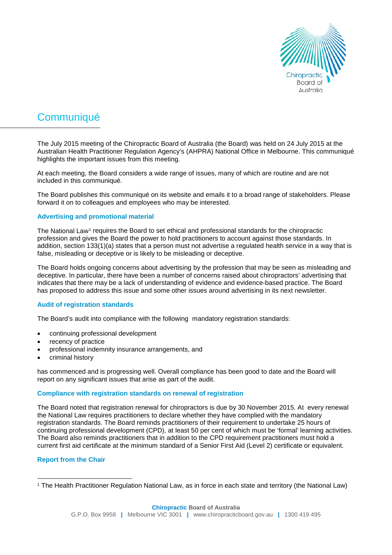

# **Communiqué**

The July 2015 meeting of the Chiropractic Board of Australia (the Board) was held on 24 July 2015 at the Australian Health Practitioner Regulation Agency's (AHPRA) National Office in Melbourne. This communiqué highlights the important issues from this meeting.

At each meeting, the Board considers a wide range of issues, many of which are routine and are not included in this communiqué.

The Board publishes this communiqué on its website and emails it to a broad range of stakeholders. Please forward it on to colleagues and employees who may be interested.

## **Advertising and promotional material**

The National Law[1](#page-0-0) requires the Board to set ethical and professional standards for the chiropractic profession and gives the Board the power to hold practitioners to account against those standards. In addition, section 133(1)(a) states that a person must not advertise a regulated health service in a way that is false, misleading or deceptive or is likely to be misleading or deceptive.

The Board holds ongoing concerns about advertising by the profession that may be seen as misleading and deceptive. In particular, there have been a number of concerns raised about chiropractors' advertising that indicates that there may be a lack of understanding of evidence and evidence-based practice. The Board has proposed to address this issue and some other issues around advertising in its next newsletter.

#### **Audit of registration standards**

The Board's audit into compliance with the following mandatory registration standards:

- continuing professional development
- recency of practice
- professional indemnity insurance arrangements, and
- criminal history

has commenced and is progressing well. Overall compliance has been good to date and the Board will report on any significant issues that arise as part of the audit.

#### **Compliance with registration standards on renewal of registration**

The Board noted that registration renewal for chiropractors is due by 30 November 2015. At every renewal the National Law requires practitioners to declare whether they have complied with the mandatory registration standards. The Board reminds practitioners of their requirement to undertake 25 hours of continuing professional development (CPD), at least 50 per cent of which must be 'formal' learning activities. The Board also reminds practitioners that in addition to the CPD requirement practitioners must hold a current first aid certificate at the minimum standard of a Senior First Aid (Level 2) certificate or equivalent.

## **Report from the Chair**

<span id="page-0-0"></span> <sup>1</sup> The Health Practitioner Regulation National Law, as in force in each state and territory (the National Law)